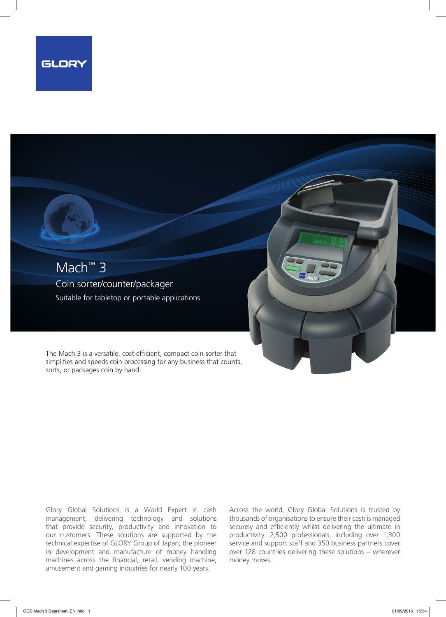

## Mach™ 3 Coin sorter/counter/packager Suitable for tabletop or portable applications

The Mach 3 is a versatile, cost efficient, compact coin sorter that simplifies and speeds coin processing for any business that counts, sorts, or packages coin by hand.

Glory Global Solutions is a World Expert in cash management, delivering technology and solutions that provide security, productivity and innovation to our customers. These solutions are supported by the technical expertise of GLORY Group of Japan, the pioneer in development and manufacture of money handling machines across the financial, retail, vending machine, amusement and gaming industries for nearly 100 years.

Across the world, Glory Global Solutions is trusted by thousands of organisations to ensure their cash is managed securely and efficiently whilst delivering the ultimate in productivity. 2,500 professionals, including over 1,300 service and support staff and 350 business partners cover over 128 countries delivering these solutions – wherever money moves.